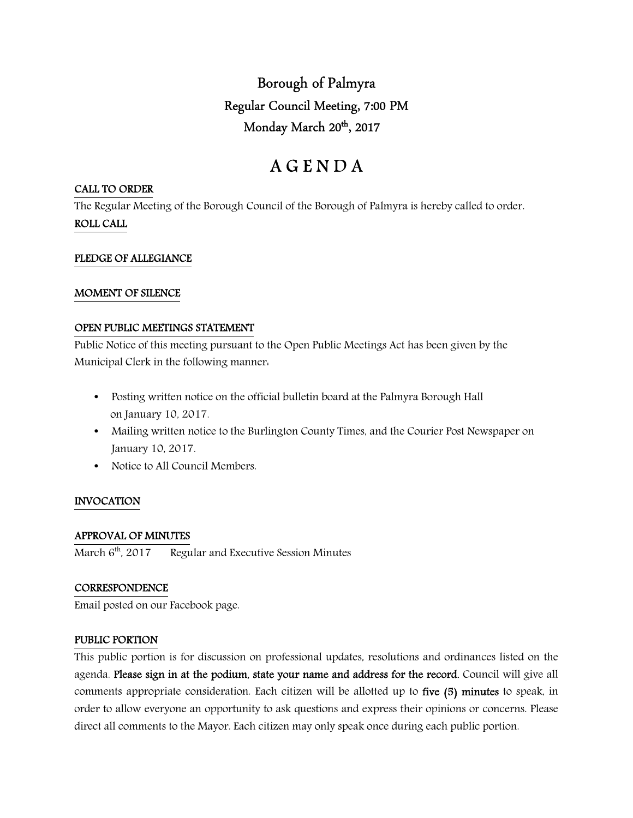Borough of Palmyra Regular Council Meeting, 7:00 PM Monday March 20<sup>th</sup>, 2017

# A G E N D A

## CALL TO ORDER

The Regular Meeting of the Borough Council of the Borough of Palmyra is hereby called to order. ROLL CALL

## PLEDGE OF ALLEGIANCE

## MOMENT OF SILENCE

## OPEN PUBLIC MEETINGS STATEMENT

Public Notice of this meeting pursuant to the Open Public Meetings Act has been given by the Municipal Clerk in the following manner:

- Posting written notice on the official bulletin board at the Palmyra Borough Hall on January 10, 2017.
- Mailing written notice to the Burlington County Times, and the Courier Post Newspaper on January 10, 2017.
- Notice to All Council Members.

# INVOCATION

## APPROVAL OF MINUTES

March  $6<sup>th</sup>$ , 2017 Regular and Executive Session Minutes

## **CORRESPONDENCE**

Email posted on our Facebook page.

## PUBLIC PORTION

This public portion is for discussion on professional updates, resolutions and ordinances listed on the agenda. Please sign in at the podium, state your name and address for the record. Council will give all comments appropriate consideration. Each citizen will be allotted up to five (5) minutes to speak, in order to allow everyone an opportunity to ask questions and express their opinions or concerns. Please direct all comments to the Mayor. Each citizen may only speak once during each public portion.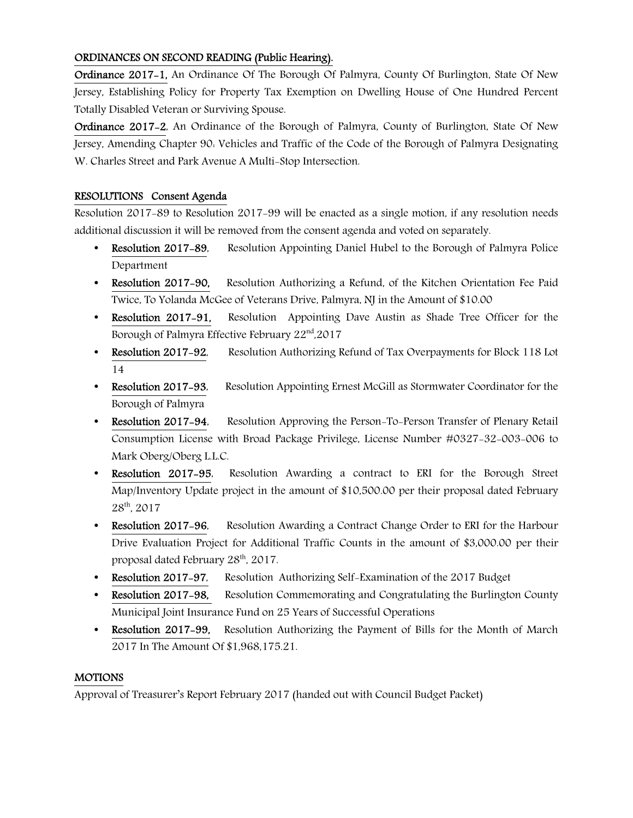# ORDINANCES ON SECOND READING (Public Hearing).

Ordinance 2017-1, An Ordinance Of The Borough Of Palmyra, County Of Burlington, State Of New Jersey, Establishing Policy for Property Tax Exemption on Dwelling House of One Hundred Percent Totally Disabled Veteran or Surviving Spouse.

Ordinance 2017-2, An Ordinance of the Borough of Palmyra, County of Burlington, State Of New Jersey, Amending Chapter 90: Vehicles and Traffic of the Code of the Borough of Palmyra Designating W. Charles Street and Park Avenue A Multi-Stop Intersection.

# RESOLUTIONS Consent Agenda

Resolution 2017-89 to Resolution 2017-99 will be enacted as a single motion, if any resolution needs additional discussion it will be removed from the consent agenda and voted on separately.

- Resolution 2017–89, Resolution Appointing Daniel Hubel to the Borough of Palmyra Police Department
- Resolution 2017-90, Resolution Authorizing a Refund, of the Kitchen Orientation Fee Paid Twice, To Yolanda McGee of Veterans Drive, Palmyra, NJ in the Amount of \$10.00
- Resolution 2017–91, Resolution Appointing Dave Austin as Shade Tree Officer for the Borough of Palmyra Effective February 22nd,2017
- Resolution 2017-92, Resolution Authorizing Refund of Tax Overpayments for Block 118 Lot 14
- Resolution 2017-93, Resolution Appointing Ernest McGill as Stormwater Coordinator for the Borough of Palmyra
- Resolution 2017-94, Resolution Approving the Person-To-Person Transfer of Plenary Retail Consumption License with Broad Package Privilege, License Number #0327-32-003-006 to Mark Oberg/Oberg L.L.C.
- Resolution 2017–95, Resolution Awarding a contract to ERI for the Borough Street Map/Inventory Update project in the amount of \$10,500.00 per their proposal dated February 28th, 2017
- Resolution 2017-96, Resolution Awarding a Contract Change Order to ERI for the Harbour Drive Evaluation Project for Additional Traffic Counts in the amount of \$3,000.00 per their proposal dated February 28th, 2017.
- Resolution 2017-97, Resolution Authorizing Self-Examination of the 2017 Budget
- Resolution 2017-98, Resolution Commemorating and Congratulating the Burlington County Municipal Joint Insurance Fund on 25 Years of Successful Operations
- Resolution 2017-99,Resolution Authorizing the Payment of Bills for the Month of March 2017 In The Amount Of \$1,968,175.21.

# MOTIONS

Approval of Treasurer's Report February 2017 (handed out with Council Budget Packet)